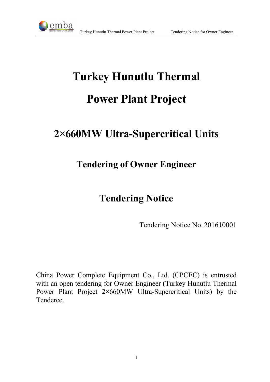

# **Turkey Hunutlu Thermal Power Plant Project**

## **2×660MW Ultra-Supercritical Units**

### **Tendering of Owner Engineer**

### **Tendering Notice**

Tendering Notice No. 201610001

China Power Complete Equipment Co., Ltd. (CPCEC) is entrusted with an open tendering for Owner Engineer (Turkey Hunutlu Thermal Power Plant Project 2×660MW Ultra-Supercritical Units) by the Tenderee.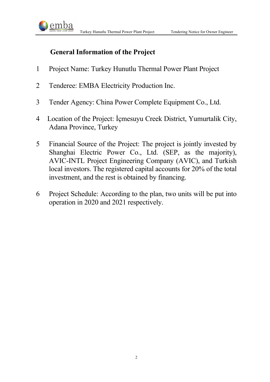



#### **General Information of the Project**

- 1 Project Name: Turkey Hunutlu Thermal Power Plant Project
- 2 Tenderee: EMBA Electricity Production Inc.
- 3 Tender Agency: China Power Complete Equipment Co., Ltd.
- 4 Location of the Project: İçmesuyu Creek District, Yumurtalik City, Adana Province, Turkey
- 5 Financial Source of the Project: The project is jointly invested by Shanghai Electric Power Co., Ltd. (SEP, as the majority), AVIC-INTL Project Engineering Company (AVIC), and Turkish local investors. The registered capital accounts for 20% of the total investment, and the rest is obtained by financing.
- 6 Project Schedule: According to the plan, two units will be put into operation in 2020 and 2021 respectively.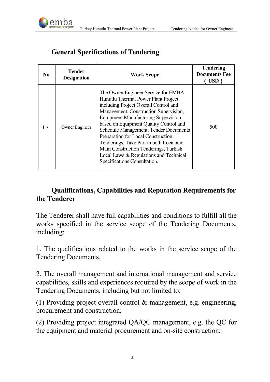

| No. | <b>Tender</b><br><b>Designation</b> | <b>Work Scope</b>                                                                                                                                                                                                                                                                                                                                                                                                                                                                                  | <b>Tendering</b><br><b>Documents Fee</b><br>USD) |
|-----|-------------------------------------|----------------------------------------------------------------------------------------------------------------------------------------------------------------------------------------------------------------------------------------------------------------------------------------------------------------------------------------------------------------------------------------------------------------------------------------------------------------------------------------------------|--------------------------------------------------|
|     | Owner Engineer                      | The Owner Engineer Service for EMBA<br>Hunutlu Thermal Power Plant Project,<br>including Project Overall Control and<br>Management, Construction Supervision,<br><b>Equipment Manufacturing Supervision</b><br>based on Equipment Quality Control and<br>Schedule Management, Tender Documents<br>Preparation for Local Construction<br>Tenderings, Take Part in both Local and<br>Main Construction Tenderings, Turkish<br>Local Laws & Regulations and Technical<br>Specifications Consultation. | 500                                              |

### **General Specifications of Tendering**

#### **Qualifications, Capabilities and Reputation Requirements for the Tenderer**

The Tenderer shall have full capabilities and conditions to fulfill all the works specified in the service scope of the Tendering Documents, including:

1. The qualifications related to the works in the service scope of the Tendering Documents,

2. The overall management and international management and service capabilities, skills and experiences required by the scope of work in the Tendering Documents, including but not limited to:

(1) Providing project overall control & management, e.g. engineering, procurement and construction;

(2) Providing project integrated QA/QC management, e.g. the QC for the equipment and material procurement and on-site construction;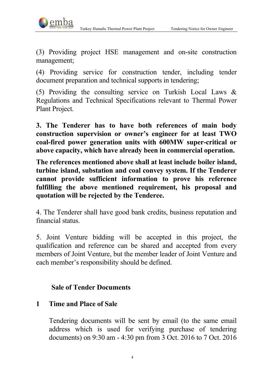

(3) Providing project HSE management and on-site construction management;

(4) Providing service for construction tender, including tender document preparation and technical supports in tendering;

(5) Providing the consulting service on Turkish Local Laws & Regulations and Technical Specifications relevant to Thermal Power Plant Project.

**3. The Tenderer has to have both references of main body construction supervision or owner's engineer for at least TWO coal-fired power generation units with 600MW super-critical or above capacity, which have already been in commercial operation.**

**The references mentioned above shall at least include boiler island, turbine island, substation and coal convey system. If the Tenderer cannot provide sufficient information to prove his reference fulfilling the above mentioned requirement, his proposal and quotation will be rejected by the Tenderee.** 

4. The Tenderer shall have good bank credits, business reputation and financial status.

5. Joint Venture bidding will be accepted in this project, the qualification and reference can be shared and accepted from every members of Joint Venture, but the member leader of Joint Venture and each member's responsibility should be defined.

#### **Sale of Tender Documents**

#### **1 Time and Place of Sale**

Tendering documents will be sent by email (to the same email address which is used for verifying purchase of tendering documents) on 9:30 am - 4:30 pm from 3 Oct. 2016 to 7 Oct. 2016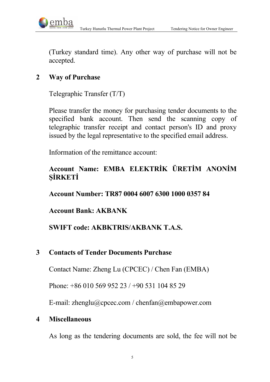Turkey Hunutlu Thermal Power Plant Project Tendering Notice for Owner Engineer



(Turkey standard time). Any other way of purchase will not be accepted.

#### **2 Way of Purchase**

Telegraphic Transfer (T/T)

Please transfer the money for purchasing tender documents to the specified bank account. Then send the scanning copy of telegraphic transfer receipt and contact person's ID and proxy issued by the legal representative to the specified email address.

Information of the remittance account:

#### **Account Name: EMBA ELEKTRİK ÜRETİM ANONİM ŞİRKETİ**

**Account Number: TR87 0004 6007 6300 1000 0357 84**

**Account Bank: AKBANK**

#### **SWIFT code: AKBKTRIS/AKBANK T.A.S.**

#### **3 Contacts of Tender Documents Purchase**

Contact Name: Zheng Lu (CPCEC) / Chen Fan (EMBA)

Phone: +86 010 569 952 23 / +90 531 104 85 29

E-mail: zhenglu@cpcec.com / chenfan@embapower.com

#### **4 Miscellaneous**

As long as the tendering documents are sold, the fee will not be